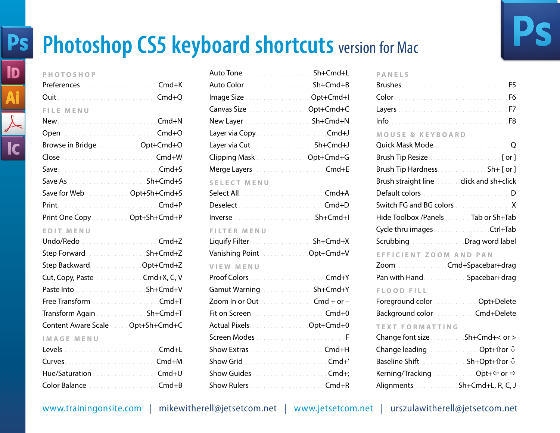# **Photoshop CS5 keyboard shortcuts** version for Mac

## **PHOTOSHOP**

| <b>FILE MENU</b>            |  |
|-----------------------------|--|
|                             |  |
|                             |  |
| Browse in Bridge Opt+Cmd+O  |  |
|                             |  |
|                             |  |
|                             |  |
| Save for Web Opt+Sh+Cmd+S   |  |
|                             |  |
| Print One Copy Opt+Sh+Cmd+P |  |
|                             |  |

### **EDIT MENU**

| Transform Again <b>Material Accord Sh+Cmd+T</b> |  |
|-------------------------------------------------|--|
| Content Aware Scale Opt+Sh+Cmd+C                |  |
| <b>IMAGE MENU</b>                               |  |
|                                                 |  |
|                                                 |  |

| Hue/Saturation Cmd+U |
|----------------------|
|                      |

| Auto Color Sh+Cmd+B                                                                                            |  |
|----------------------------------------------------------------------------------------------------------------|--|
| Image Size [1] [1] Doctor Contractor Content Conductor Conductor Conductor Conductor Conductor Conductor Condu |  |
| Canvas Size [11] Canvas Size [11] Canvas Size [11] Canvas Size [11] Canvas Counter Section 2014                |  |
|                                                                                                                |  |
|                                                                                                                |  |
| Layer via Cut  Sh+Cmd+J                                                                                        |  |
| Clipping Mask Opt+Cmd+G                                                                                        |  |
|                                                                                                                |  |
| <b>SELECT MENU</b>                                                                                             |  |
|                                                                                                                |  |
|                                                                                                                |  |
|                                                                                                                |  |
| <b>FILTER MENU</b>                                                                                             |  |
| Liquify Filter. Sh+Cmd+X                                                                                       |  |
| Vanishing Point  Opt+Cmd+V                                                                                     |  |
| VIEW MENU                                                                                                      |  |
|                                                                                                                |  |
| Gamut Warning. Sh+Cmd+Y                                                                                        |  |
| Zoom In or Out Cmd + or -                                                                                      |  |
|                                                                                                                |  |
| Actual Pixels. Opt+Cmd+0                                                                                       |  |
|                                                                                                                |  |
|                                                                                                                |  |
|                                                                                                                |  |
|                                                                                                                |  |
|                                                                                                                |  |

### **PANELS**

| <b>Brushes</b> Additional Additional Additional Additional P5 |  |
|---------------------------------------------------------------|--|
|                                                               |  |
|                                                               |  |
| <u>Information and all alternative contracts</u>              |  |
| <b>MOUSE &amp; KEYBOARD</b>                                   |  |
|                                                               |  |
|                                                               |  |
|                                                               |  |
| Brush straight line. click and sh+click                       |  |
| Default colors D                                              |  |
| Switch FG and BG colors X                                     |  |
| Hide Toolbox /Panels Tab or Sh+Tab                            |  |
|                                                               |  |
| Scrubbing. Drag word label                                    |  |
| EFFICIENT ZOOM AND PAN                                        |  |
| Zoom Cmd+Spacebar+drag                                        |  |
|                                                               |  |

| 20011 CHIU I Spaccoui I ulay |  |
|------------------------------|--|
| Pan with Hand Spacebar+drag  |  |

### **FLOOD FILL**

| Foreground color [11] Dept+Delete     |  |
|---------------------------------------|--|
| Background color [11] [11] Cmd+Delete |  |

## **TEXT FORMAT TING**

| Change font size Sh+Cmd+< or >                                       |  |
|----------------------------------------------------------------------|--|
| Change leading. $\ldots$ . $\ldots$ . Opt+ $\hat{u}$ or $\hat{\psi}$ |  |
| Baseline Shift Sh+Opt+ûor $\overline{\psi}$                          |  |
| Kerning/Tracking Opt+⇔ or ⇒                                          |  |
| Alignments Sh+Cmd+L, R, C, J                                         |  |

[www.trainingonsite.com](http://trainingonsite.com) | [mikewitherell@jetsetcom.net](mailto:mikewitherell%40jetsetcom.net?subject=Hello%20Mike%2C%20I%20have%20a%20question%21) | [www.jetsetcom.net](http://jetsetcom.net) | [urszulawitherell@jetsetcom.net](mailto:urszulawitherell%40jetsetcom.net?subject=Hello%20Urszula%21)